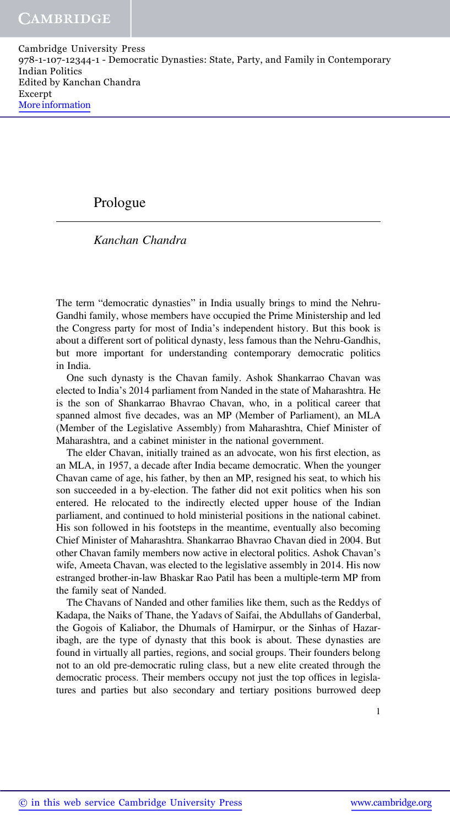# Prologue

## Kanchan Chandra

The term "democratic dynasties" in India usually brings to mind the Nehru-Gandhi family, whose members have occupied the Prime Ministership and led the Congress party for most of India's independent history. But this book is about a different sort of political dynasty, less famous than the Nehru-Gandhis, but more important for understanding contemporary democratic politics in India.

One such dynasty is the Chavan family. Ashok Shankarrao Chavan was elected to India's 2014 parliament from Nanded in the state of Maharashtra. He is the son of Shankarrao Bhavrao Chavan, who, in a political career that spanned almost five decades, was an MP (Member of Parliament), an MLA (Member of the Legislative Assembly) from Maharashtra, Chief Minister of Maharashtra, and a cabinet minister in the national government.

The elder Chavan, initially trained as an advocate, won his first election, as an MLA, in 1957, a decade after India became democratic. When the younger Chavan came of age, his father, by then an MP, resigned his seat, to which his son succeeded in a by-election. The father did not exit politics when his son entered. He relocated to the indirectly elected upper house of the Indian parliament, and continued to hold ministerial positions in the national cabinet. His son followed in his footsteps in the meantime, eventually also becoming Chief Minister of Maharashtra. Shankarrao Bhavrao Chavan died in 2004. But other Chavan family members now active in electoral politics. Ashok Chavan's wife, Ameeta Chavan, was elected to the legislative assembly in 2014. His now estranged brother-in-law Bhaskar Rao Patil has been a multiple-term MP from the family seat of Nanded.

The Chavans of Nanded and other families like them, such as the Reddys of Kadapa, the Naiks of Thane, the Yadavs of Saifai, the Abdullahs of Ganderbal, the Gogois of Kaliabor, the Dhumals of Hamirpur, or the Sinhas of Hazaribagh, are the type of dynasty that this book is about. These dynasties are found in virtually all parties, regions, and social groups. Their founders belong not to an old pre-democratic ruling class, but a new elite created through the democratic process. Their members occupy not just the top offices in legislatures and parties but also secondary and tertiary positions burrowed deep

1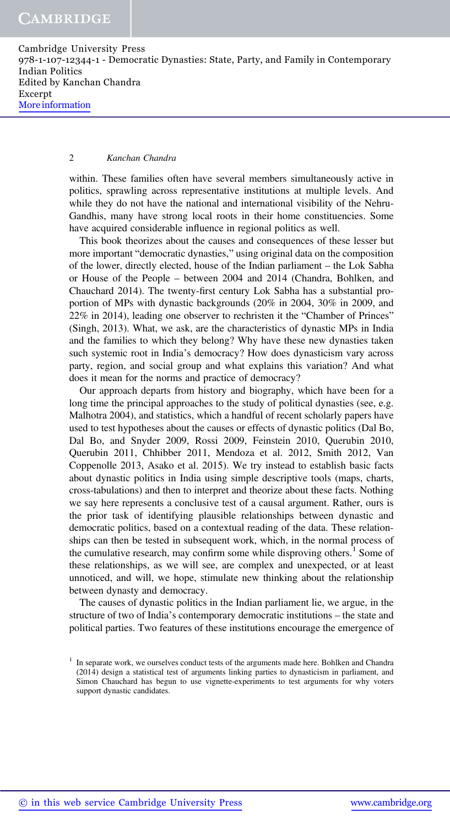#### 2 Kanchan Chandra

within. These families often have several members simultaneously active in politics, sprawling across representative institutions at multiple levels. And while they do not have the national and international visibility of the Nehru-Gandhis, many have strong local roots in their home constituencies. Some have acquired considerable influence in regional politics as well.

This book theorizes about the causes and consequences of these lesser but more important "democratic dynasties," using original data on the composition of the lower, directly elected, house of the Indian parliament – the Lok Sabha or House of the People – between 2004 and 2014 (Chandra, Bohlken, and Chauchard 2014). The twenty-first century Lok Sabha has a substantial proportion of MPs with dynastic backgrounds (20% in 2004, 30% in 2009, and 22% in 2014), leading one observer to rechristen it the "Chamber of Princes" (Singh, 2013). What, we ask, are the characteristics of dynastic MPs in India and the families to which they belong? Why have these new dynasties taken such systemic root in India's democracy? How does dynasticism vary across party, region, and social group and what explains this variation? And what does it mean for the norms and practice of democracy?

Our approach departs from history and biography, which have been for a long time the principal approaches to the study of political dynasties (see, e.g. Malhotra 2004), and statistics, which a handful of recent scholarly papers have used to test hypotheses about the causes or effects of dynastic politics (Dal Bo, Dal Bo, and Snyder 2009, Rossi 2009, Feinstein 2010, Querubin 2010, Querubin 2011, Chhibber 2011, Mendoza et al. 2012, Smith 2012, Van Coppenolle 2013, Asako et al. 2015). We try instead to establish basic facts about dynastic politics in India using simple descriptive tools (maps, charts, cross-tabulations) and then to interpret and theorize about these facts. Nothing we say here represents a conclusive test of a causal argument. Rather, ours is the prior task of identifying plausible relationships between dynastic and democratic politics, based on a contextual reading of the data. These relationships can then be tested in subsequent work, which, in the normal process of the cumulative research, may confirm some while disproving others.<sup>1</sup> Some of these relationships, as we will see, are complex and unexpected, or at least unnoticed, and will, we hope, stimulate new thinking about the relationship between dynasty and democracy.

The causes of dynastic politics in the Indian parliament lie, we argue, in the structure of two of India's contemporary democratic institutions – the state and political parties. Two features of these institutions encourage the emergence of

<sup>&</sup>lt;sup>1</sup> In separate work, we ourselves conduct tests of the arguments made here. Bohlken and Chandra (2014) design a statistical test of arguments linking parties to dynasticism in parliament, and Simon Chauchard has begun to use vignette-experiments to test arguments for why voters support dynastic candidates.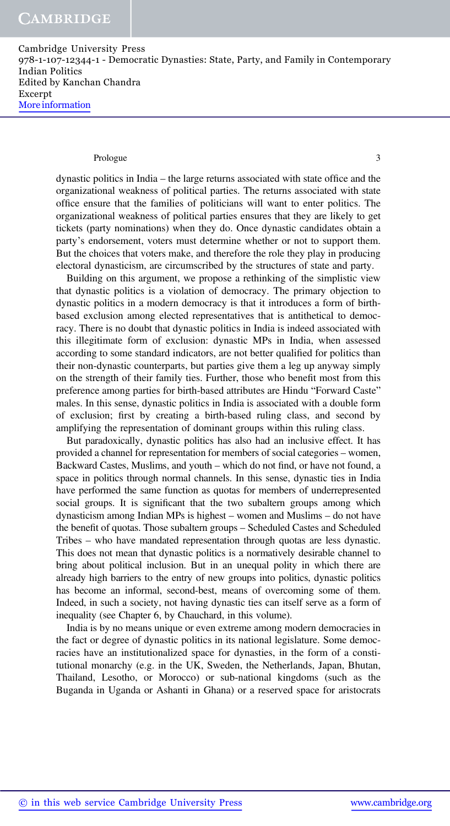#### Prologue 3

dynastic politics in India – the large returns associated with state office and the organizational weakness of political parties. The returns associated with state office ensure that the families of politicians will want to enter politics. The organizational weakness of political parties ensures that they are likely to get tickets (party nominations) when they do. Once dynastic candidates obtain a party's endorsement, voters must determine whether or not to support them. But the choices that voters make, and therefore the role they play in producing electoral dynasticism, are circumscribed by the structures of state and party.

Building on this argument, we propose a rethinking of the simplistic view that dynastic politics is a violation of democracy. The primary objection to dynastic politics in a modern democracy is that it introduces a form of birthbased exclusion among elected representatives that is antithetical to democracy. There is no doubt that dynastic politics in India is indeed associated with this illegitimate form of exclusion: dynastic MPs in India, when assessed according to some standard indicators, are not better qualified for politics than their non-dynastic counterparts, but parties give them a leg up anyway simply on the strength of their family ties. Further, those who benefit most from this preference among parties for birth-based attributes are Hindu "Forward Caste" males. In this sense, dynastic politics in India is associated with a double form of exclusion; first by creating a birth-based ruling class, and second by amplifying the representation of dominant groups within this ruling class.

But paradoxically, dynastic politics has also had an inclusive effect. It has provided a channel for representation for members of social categories – women, Backward Castes, Muslims, and youth – which do not find, or have not found, a space in politics through normal channels. In this sense, dynastic ties in India have performed the same function as quotas for members of underrepresented social groups. It is significant that the two subaltern groups among which dynasticism among Indian MPs is highest – women and Muslims – do not have the benefit of quotas. Those subaltern groups – Scheduled Castes and Scheduled Tribes – who have mandated representation through quotas are less dynastic. This does not mean that dynastic politics is a normatively desirable channel to bring about political inclusion. But in an unequal polity in which there are already high barriers to the entry of new groups into politics, dynastic politics has become an informal, second-best, means of overcoming some of them. Indeed, in such a society, not having dynastic ties can itself serve as a form of inequality (see Chapter 6, by Chauchard, in this volume).

India is by no means unique or even extreme among modern democracies in the fact or degree of dynastic politics in its national legislature. Some democracies have an institutionalized space for dynasties, in the form of a constitutional monarchy (e.g. in the UK, Sweden, the Netherlands, Japan, Bhutan, Thailand, Lesotho, or Morocco) or sub-national kingdoms (such as the Buganda in Uganda or Ashanti in Ghana) or a reserved space for aristocrats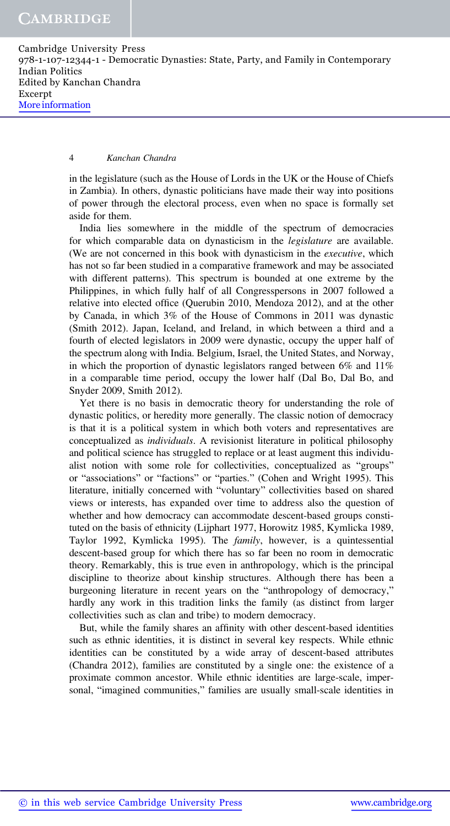#### 4 Kanchan Chandra

in the legislature (such as the House of Lords in the UK or the House of Chiefs in Zambia). In others, dynastic politicians have made their way into positions of power through the electoral process, even when no space is formally set aside for them.

India lies somewhere in the middle of the spectrum of democracies for which comparable data on dynasticism in the legislature are available. (We are not concerned in this book with dynasticism in the executive, which has not so far been studied in a comparative framework and may be associated with different patterns). This spectrum is bounded at one extreme by the Philippines, in which fully half of all Congresspersons in 2007 followed a relative into elected office (Querubin 2010, Mendoza 2012), and at the other by Canada, in which 3% of the House of Commons in 2011 was dynastic (Smith 2012). Japan, Iceland, and Ireland, in which between a third and a fourth of elected legislators in 2009 were dynastic, occupy the upper half of the spectrum along with India. Belgium, Israel, the United States, and Norway, in which the proportion of dynastic legislators ranged between 6% and 11% in a comparable time period, occupy the lower half (Dal Bo, Dal Bo, and Snyder 2009, Smith 2012).

Yet there is no basis in democratic theory for understanding the role of dynastic politics, or heredity more generally. The classic notion of democracy is that it is a political system in which both voters and representatives are conceptualized as individuals. A revisionist literature in political philosophy and political science has struggled to replace or at least augment this individualist notion with some role for collectivities, conceptualized as "groups" or "associations" or "factions" or "parties." (Cohen and Wright 1995). This literature, initially concerned with "voluntary" collectivities based on shared views or interests, has expanded over time to address also the question of whether and how democracy can accommodate descent-based groups constituted on the basis of ethnicity (Lijphart 1977, Horowitz 1985, Kymlicka 1989, Taylor 1992, Kymlicka 1995). The family, however, is a quintessential descent-based group for which there has so far been no room in democratic theory. Remarkably, this is true even in anthropology, which is the principal discipline to theorize about kinship structures. Although there has been a burgeoning literature in recent years on the "anthropology of democracy," hardly any work in this tradition links the family (as distinct from larger collectivities such as clan and tribe) to modern democracy.

But, while the family shares an affinity with other descent-based identities such as ethnic identities, it is distinct in several key respects. While ethnic identities can be constituted by a wide array of descent-based attributes (Chandra 2012), families are constituted by a single one: the existence of a proximate common ancestor. While ethnic identities are large-scale, impersonal, "imagined communities," families are usually small-scale identities in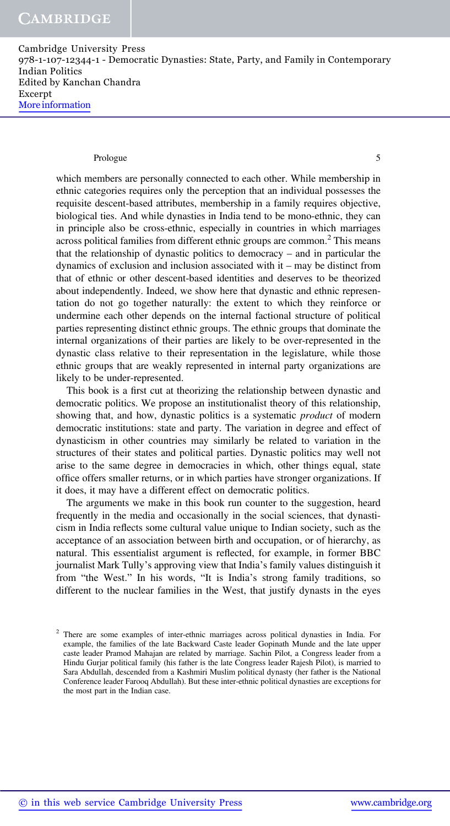#### Prologue 5

which members are personally connected to each other. While membership in ethnic categories requires only the perception that an individual possesses the requisite descent-based attributes, membership in a family requires objective, biological ties. And while dynasties in India tend to be mono-ethnic, they can in principle also be cross-ethnic, especially in countries in which marriages across political families from different ethnic groups are common.<sup>2</sup> This means that the relationship of dynastic politics to democracy – and in particular the dynamics of exclusion and inclusion associated with it – may be distinct from that of ethnic or other descent-based identities and deserves to be theorized about independently. Indeed, we show here that dynastic and ethnic representation do not go together naturally: the extent to which they reinforce or undermine each other depends on the internal factional structure of political parties representing distinct ethnic groups. The ethnic groups that dominate the internal organizations of their parties are likely to be over-represented in the dynastic class relative to their representation in the legislature, while those ethnic groups that are weakly represented in internal party organizations are likely to be under-represented.

This book is a first cut at theorizing the relationship between dynastic and democratic politics. We propose an institutionalist theory of this relationship, showing that, and how, dynastic politics is a systematic *product* of modern democratic institutions: state and party. The variation in degree and effect of dynasticism in other countries may similarly be related to variation in the structures of their states and political parties. Dynastic politics may well not arise to the same degree in democracies in which, other things equal, state office offers smaller returns, or in which parties have stronger organizations. If it does, it may have a different effect on democratic politics.

The arguments we make in this book run counter to the suggestion, heard frequently in the media and occasionally in the social sciences, that dynasticism in India reflects some cultural value unique to Indian society, such as the acceptance of an association between birth and occupation, or of hierarchy, as natural. This essentialist argument is reflected, for example, in former BBC journalist Mark Tully's approving view that India's family values distinguish it from "the West." In his words, "It is India's strong family traditions, so different to the nuclear families in the West, that justify dynasts in the eyes

<sup>2</sup> There are some examples of inter-ethnic marriages across political dynasties in India. For example, the families of the late Backward Caste leader Gopinath Munde and the late upper caste leader Pramod Mahajan are related by marriage. Sachin Pilot, a Congress leader from a Hindu Gurjar political family (his father is the late Congress leader Rajesh Pilot), is married to Sara Abdullah, descended from a Kashmiri Muslim political dynasty (her father is the National Conference leader Farooq Abdullah). But these inter-ethnic political dynasties are exceptions for the most part in the Indian case.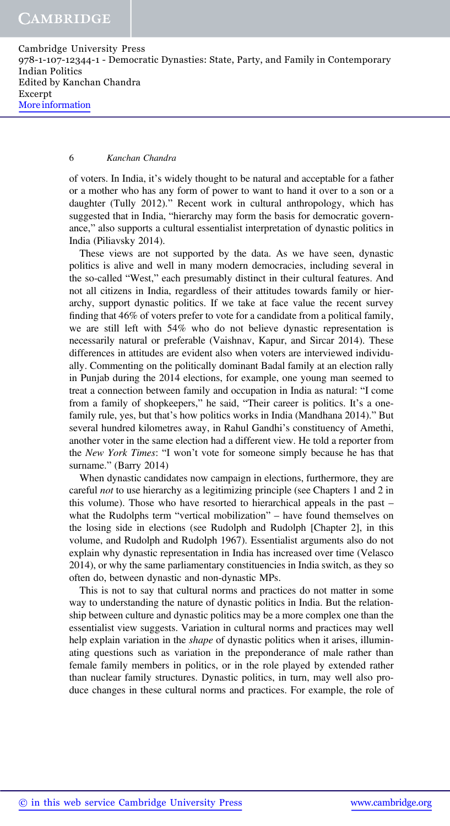#### 6 Kanchan Chandra

of voters. In India, it's widely thought to be natural and acceptable for a father or a mother who has any form of power to want to hand it over to a son or a daughter (Tully 2012)." Recent work in cultural anthropology, which has suggested that in India, "hierarchy may form the basis for democratic governance," also supports a cultural essentialist interpretation of dynastic politics in India (Piliavsky 2014).

These views are not supported by the data. As we have seen, dynastic politics is alive and well in many modern democracies, including several in the so-called "West," each presumably distinct in their cultural features. And not all citizens in India, regardless of their attitudes towards family or hierarchy, support dynastic politics. If we take at face value the recent survey finding that 46% of voters prefer to vote for a candidate from a political family, we are still left with 54% who do not believe dynastic representation is necessarily natural or preferable (Vaishnav, Kapur, and Sircar 2014). These differences in attitudes are evident also when voters are interviewed individually. Commenting on the politically dominant Badal family at an election rally in Punjab during the 2014 elections, for example, one young man seemed to treat a connection between family and occupation in India as natural: "I come from a family of shopkeepers," he said, "Their career is politics. It's a onefamily rule, yes, but that's how politics works in India (Mandhana 2014)." But several hundred kilometres away, in Rahul Gandhi's constituency of Amethi, another voter in the same election had a different view. He told a reporter from the New York Times: "I won't vote for someone simply because he has that surname." (Barry 2014)

When dynastic candidates now campaign in elections, furthermore, they are careful not to use hierarchy as a legitimizing principle (see Chapters 1 and 2 in this volume). Those who have resorted to hierarchical appeals in the past – what the Rudolphs term "vertical mobilization" – have found themselves on the losing side in elections (see Rudolph and Rudolph [Chapter 2], in this volume, and Rudolph and Rudolph 1967). Essentialist arguments also do not explain why dynastic representation in India has increased over time (Velasco 2014), or why the same parliamentary constituencies in India switch, as they so often do, between dynastic and non-dynastic MPs.

This is not to say that cultural norms and practices do not matter in some way to understanding the nature of dynastic politics in India. But the relationship between culture and dynastic politics may be a more complex one than the essentialist view suggests. Variation in cultural norms and practices may well help explain variation in the *shape* of dynastic politics when it arises, illuminating questions such as variation in the preponderance of male rather than female family members in politics, or in the role played by extended rather than nuclear family structures. Dynastic politics, in turn, may well also produce changes in these cultural norms and practices. For example, the role of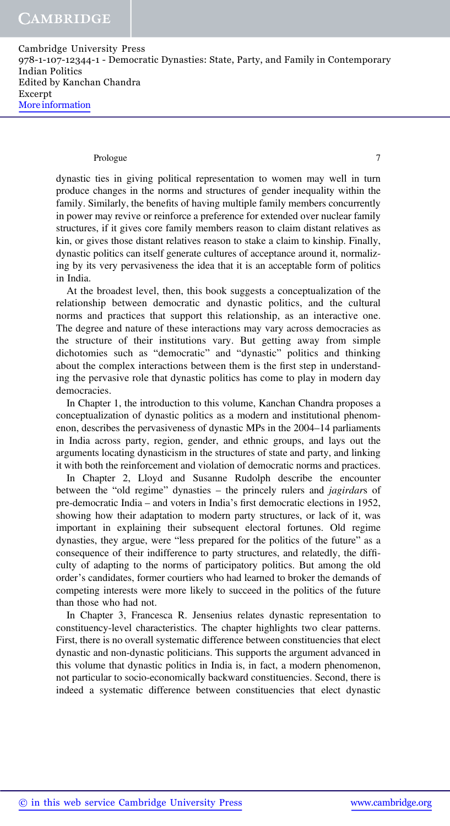#### Prologue 7

dynastic ties in giving political representation to women may well in turn produce changes in the norms and structures of gender inequality within the family. Similarly, the benefits of having multiple family members concurrently in power may revive or reinforce a preference for extended over nuclear family structures, if it gives core family members reason to claim distant relatives as kin, or gives those distant relatives reason to stake a claim to kinship. Finally, dynastic politics can itself generate cultures of acceptance around it, normalizing by its very pervasiveness the idea that it is an acceptable form of politics in India.

At the broadest level, then, this book suggests a conceptualization of the relationship between democratic and dynastic politics, and the cultural norms and practices that support this relationship, as an interactive one. The degree and nature of these interactions may vary across democracies as the structure of their institutions vary. But getting away from simple dichotomies such as "democratic" and "dynastic" politics and thinking about the complex interactions between them is the first step in understanding the pervasive role that dynastic politics has come to play in modern day democracies.

In Chapter 1, the introduction to this volume, Kanchan Chandra proposes a conceptualization of dynastic politics as a modern and institutional phenomenon, describes the pervasiveness of dynastic MPs in the 2004–14 parliaments in India across party, region, gender, and ethnic groups, and lays out the arguments locating dynasticism in the structures of state and party, and linking it with both the reinforcement and violation of democratic norms and practices.

In Chapter 2, Lloyd and Susanne Rudolph describe the encounter between the "old regime" dynasties – the princely rulers and jagirdars of pre-democratic India – and voters in India's first democratic elections in 1952, showing how their adaptation to modern party structures, or lack of it, was important in explaining their subsequent electoral fortunes. Old regime dynasties, they argue, were "less prepared for the politics of the future" as a consequence of their indifference to party structures, and relatedly, the difficulty of adapting to the norms of participatory politics. But among the old order's candidates, former courtiers who had learned to broker the demands of competing interests were more likely to succeed in the politics of the future than those who had not.

In Chapter 3, Francesca R. Jensenius relates dynastic representation to constituency-level characteristics. The chapter highlights two clear patterns. First, there is no overall systematic difference between constituencies that elect dynastic and non-dynastic politicians. This supports the argument advanced in this volume that dynastic politics in India is, in fact, a modern phenomenon, not particular to socio-economically backward constituencies. Second, there is indeed a systematic difference between constituencies that elect dynastic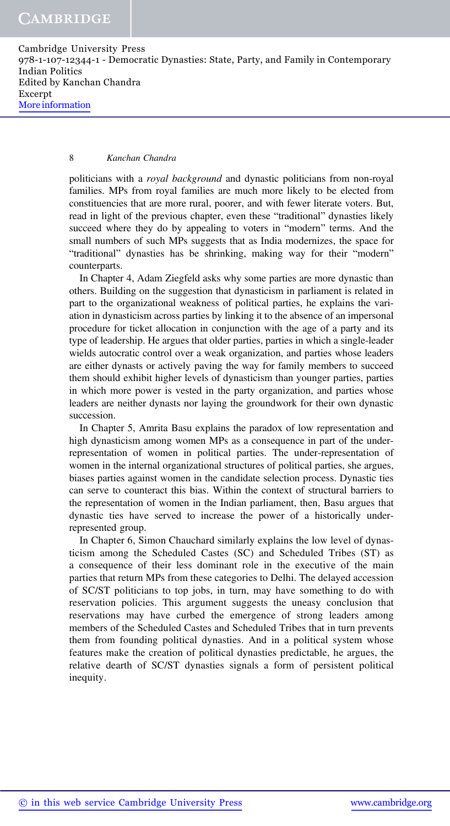#### 8 Kanchan Chandra

politicians with a royal background and dynastic politicians from non-royal families. MPs from royal families are much more likely to be elected from constituencies that are more rural, poorer, and with fewer literate voters. But, read in light of the previous chapter, even these "traditional" dynasties likely succeed where they do by appealing to voters in "modern" terms. And the small numbers of such MPs suggests that as India modernizes, the space for "traditional" dynasties has be shrinking, making way for their "modern" counterparts.

In Chapter 4, Adam Ziegfeld asks why some parties are more dynastic than others. Building on the suggestion that dynasticism in parliament is related in part to the organizational weakness of political parties, he explains the variation in dynasticism across parties by linking it to the absence of an impersonal procedure for ticket allocation in conjunction with the age of a party and its type of leadership. He argues that older parties, parties in which a single-leader wields autocratic control over a weak organization, and parties whose leaders are either dynasts or actively paving the way for family members to succeed them should exhibit higher levels of dynasticism than younger parties, parties in which more power is vested in the party organization, and parties whose leaders are neither dynasts nor laying the groundwork for their own dynastic succession.

In Chapter 5, Amrita Basu explains the paradox of low representation and high dynasticism among women MPs as a consequence in part of the underrepresentation of women in political parties. The under-representation of women in the internal organizational structures of political parties, she argues, biases parties against women in the candidate selection process. Dynastic ties can serve to counteract this bias. Within the context of structural barriers to the representation of women in the Indian parliament, then, Basu argues that dynastic ties have served to increase the power of a historically underrepresented group.

In Chapter 6, Simon Chauchard similarly explains the low level of dynasticism among the Scheduled Castes (SC) and Scheduled Tribes (ST) as a consequence of their less dominant role in the executive of the main parties that return MPs from these categories to Delhi. The delayed accession of SC/ST politicians to top jobs, in turn, may have something to do with reservation policies. This argument suggests the uneasy conclusion that reservations may have curbed the emergence of strong leaders among members of the Scheduled Castes and Scheduled Tribes that in turn prevents them from founding political dynasties. And in a political system whose features make the creation of political dynasties predictable, he argues, the relative dearth of SC/ST dynasties signals a form of persistent political inequity.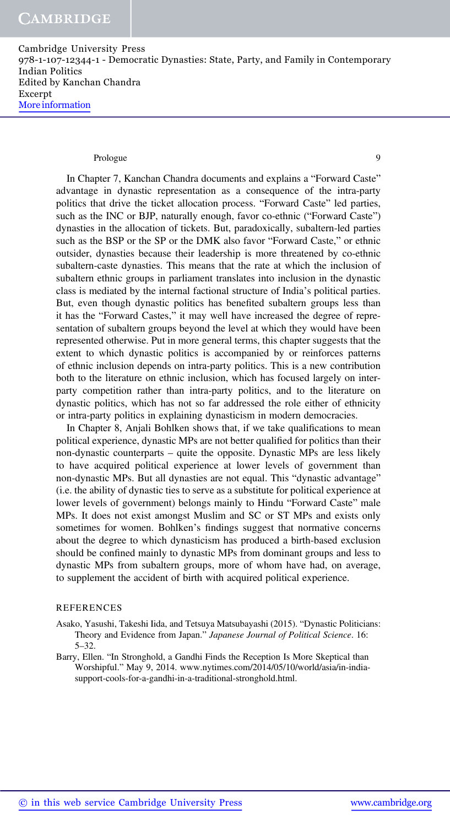#### Prologue 9

In Chapter 7, Kanchan Chandra documents and explains a "Forward Caste" advantage in dynastic representation as a consequence of the intra-party politics that drive the ticket allocation process. "Forward Caste" led parties, such as the INC or BJP, naturally enough, favor co-ethnic ("Forward Caste") dynasties in the allocation of tickets. But, paradoxically, subaltern-led parties such as the BSP or the SP or the DMK also favor "Forward Caste," or ethnic outsider, dynasties because their leadership is more threatened by co-ethnic subaltern-caste dynasties. This means that the rate at which the inclusion of subaltern ethnic groups in parliament translates into inclusion in the dynastic class is mediated by the internal factional structure of India's political parties. But, even though dynastic politics has benefited subaltern groups less than it has the "Forward Castes," it may well have increased the degree of representation of subaltern groups beyond the level at which they would have been represented otherwise. Put in more general terms, this chapter suggests that the extent to which dynastic politics is accompanied by or reinforces patterns of ethnic inclusion depends on intra-party politics. This is a new contribution both to the literature on ethnic inclusion, which has focused largely on interparty competition rather than intra-party politics, and to the literature on dynastic politics, which has not so far addressed the role either of ethnicity or intra-party politics in explaining dynasticism in modern democracies.

In Chapter 8, Anjali Bohlken shows that, if we take qualifications to mean political experience, dynastic MPs are not better qualified for politics than their non-dynastic counterparts – quite the opposite. Dynastic MPs are less likely to have acquired political experience at lower levels of government than non-dynastic MPs. But all dynasties are not equal. This "dynastic advantage" (i.e. the ability of dynastic ties to serve as a substitute for political experience at lower levels of government) belongs mainly to Hindu "Forward Caste" male MPs. It does not exist amongst Muslim and SC or ST MPs and exists only sometimes for women. Bohlken's findings suggest that normative concerns about the degree to which dynasticism has produced a birth-based exclusion should be confined mainly to dynastic MPs from dominant groups and less to dynastic MPs from subaltern groups, more of whom have had, on average, to supplement the accident of birth with acquired political experience.

### REFERENCES

- Asako, Yasushi, Takeshi Iida, and Tetsuya Matsubayashi (2015). "Dynastic Politicians: Theory and Evidence from Japan." Japanese Journal of Political Science. 16: 5–32.
- Barry, Ellen. "In Stronghold, a Gandhi Finds the Reception Is More Skeptical than Worshipful." May 9, 2014. www.nytimes.com/2014/05/10/world/asia/in-indiasupport-cools-for-a-gandhi-in-a-traditional-stronghold.html.